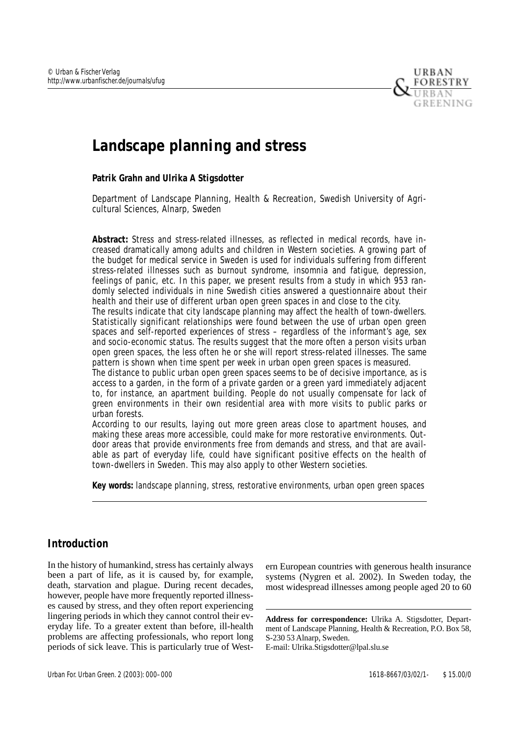

# **Landscape planning and stress**

### **Patrik Grahn and Ulrika A Stigsdotter**

Department of Landscape Planning, Health & Recreation, Swedish University of Agricultural Sciences, Alnarp, Sweden

**Abstract:** Stress and stress-related illnesses, as reflected in medical records, have increased dramatically among adults and children in Western societies. A growing part of the budget for medical service in Sweden is used for individuals suffering from different stress-related illnesses such as burnout syndrome, insomnia and fatigue, depression, feelings of panic, etc. In this paper, we present results from a study in which 953 randomly selected individuals in nine Swedish cities answered a questionnaire about their health and their use of different urban open green spaces in and close to the city.

The results indicate that city landscape planning may affect the health of town-dwellers. Statistically significant relationships were found between the use of urban open green spaces and self-reported experiences of stress – regardless of the informant's age, sex and socio-economic status. The results suggest that the more often a person visits urban open green spaces, the less often he or she will report stress-related illnesses. The same pattern is shown when time spent per week in urban open green spaces is measured.

The distance to public urban open green spaces seems to be of decisive importance, as is access to a garden, in the form of a private garden or a green yard immediately adjacent to, for instance, an apartment building. People do not usually compensate for lack of green environments in their own residential area with more visits to public parks or urban forests.

According to our results, laying out more green areas close to apartment houses, and making these areas more accessible, could make for more restorative environments. Outdoor areas that provide environments free from demands and stress, and that are available as part of everyday life, could have significant positive effects on the health of town-dwellers in Sweden. This may also apply to other Western societies.

**Key words:** landscape planning, stress, restorative environments, urban open green spaces

## **Introduction**

In the history of humankind, stress has certainly always been a part of life, as it is caused by, for example, death, starvation and plague. During recent decades, however, people have more frequently reported illnesses caused by stress, and they often report experiencing lingering periods in which they cannot control their everyday life. To a greater extent than before, ill-health problems are affecting professionals, who report long periods of sick leave. This is particularly true of West-

ern European countries with generous health insurance systems (Nygren et al. 2002). In Sweden today, the most widespread illnesses among people aged 20 to 60

**Address for correspondence:** Ulrika A. Stigsdotter, Department of Landscape Planning, Health & Recreation, P.O. Box 58, S-230 53 Alnarp, Sweden.

E-mail: Ulrika.Stigsdotter@lpal.slu.se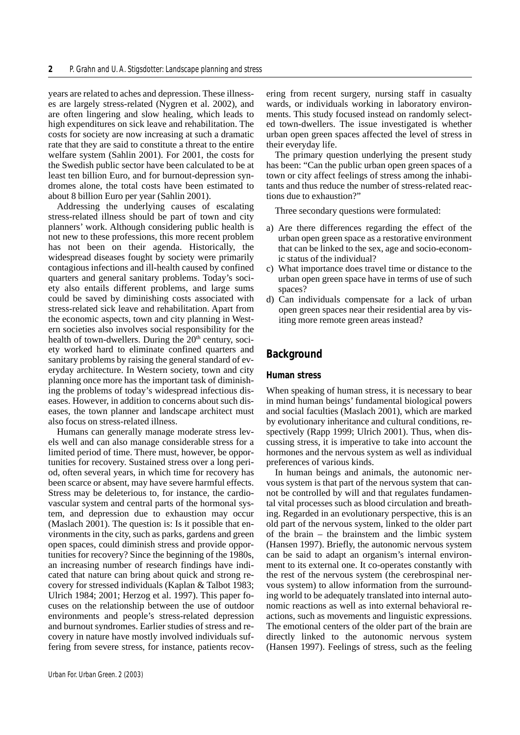years are related to aches and depression. These illnesses are largely stress-related (Nygren et al. 2002), and are often lingering and slow healing, which leads to high expenditures on sick leave and rehabilitation. The costs for society are now increasing at such a dramatic rate that they are said to constitute a threat to the entire welfare system (Sahlin 2001). For 2001, the costs for the Swedish public sector have been calculated to be at least ten billion Euro, and for burnout-depression syndromes alone, the total costs have been estimated to about 8 billion Euro per year (Sahlin 2001).

Addressing the underlying causes of escalating stress-related illness should be part of town and city planners' work. Although considering public health is not new to these professions, this more recent problem has not been on their agenda. Historically, the widespread diseases fought by society were primarily contagious infections and ill-health caused by confined quarters and general sanitary problems. Today's society also entails different problems, and large sums could be saved by diminishing costs associated with stress-related sick leave and rehabilitation. Apart from the economic aspects, town and city planning in Western societies also involves social responsibility for the health of town-dwellers. During the  $20<sup>th</sup>$  century, society worked hard to eliminate confined quarters and sanitary problems by raising the general standard of everyday architecture. In Western society, town and city planning once more has the important task of diminishing the problems of today's widespread infectious diseases. However, in addition to concerns about such diseases, the town planner and landscape architect must also focus on stress-related illness.

Humans can generally manage moderate stress levels well and can also manage considerable stress for a limited period of time. There must, however, be opportunities for recovery. Sustained stress over a long period, often several years, in which time for recovery has been scarce or absent, may have severe harmful effects. Stress may be deleterious to, for instance, the cardiovascular system and central parts of the hormonal system, and depression due to exhaustion may occur (Maslach 2001). The question is: Is it possible that environments in the city, such as parks, gardens and green open spaces, could diminish stress and provide opportunities for recovery? Since the beginning of the 1980s, an increasing number of research findings have indicated that nature can bring about quick and strong recovery for stressed individuals (Kaplan & Talbot 1983; Ulrich 1984; 2001; Herzog et al. 1997). This paper focuses on the relationship between the use of outdoor environments and people's stress-related depression and burnout syndromes. Earlier studies of stress and recovery in nature have mostly involved individuals suffering from severe stress, for instance, patients recovering from recent surgery, nursing staff in casualty wards, or individuals working in laboratory environments. This study focused instead on randomly selected town-dwellers. The issue investigated is whether urban open green spaces affected the level of stress in their everyday life.

The primary question underlying the present study has been: "Can the public urban open green spaces of a town or city affect feelings of stress among the inhabitants and thus reduce the number of stress-related reactions due to exhaustion?"

Three secondary questions were formulated:

- a) Are there differences regarding the effect of the urban open green space as a restorative environment that can be linked to the sex, age and socio-economic status of the individual?
- c) What importance does travel time or distance to the urban open green space have in terms of use of such spaces?
- d) Can individuals compensate for a lack of urban open green spaces near their residential area by visiting more remote green areas instead?

### **Background**

#### **Human stress**

When speaking of human stress, it is necessary to bear in mind human beings' fundamental biological powers and social faculties (Maslach 2001), which are marked by evolutionary inheritance and cultural conditions, respectively (Rapp 1999; Ulrich 2001). Thus, when discussing stress, it is imperative to take into account the hormones and the nervous system as well as individual preferences of various kinds.

In human beings and animals, the autonomic nervous system is that part of the nervous system that cannot be controlled by will and that regulates fundamental vital processes such as blood circulation and breathing. Regarded in an evolutionary perspective, this is an old part of the nervous system, linked to the older part of the brain – the brainstem and the limbic system (Hansen 1997). Briefly, the autonomic nervous system can be said to adapt an organism's internal environment to its external one. It co-operates constantly with the rest of the nervous system (the cerebrospinal nervous system) to allow information from the surrounding world to be adequately translated into internal autonomic reactions as well as into external behavioral reactions, such as movements and linguistic expressions. The emotional centers of the older part of the brain are directly linked to the autonomic nervous system (Hansen 1997). Feelings of stress, such as the feeling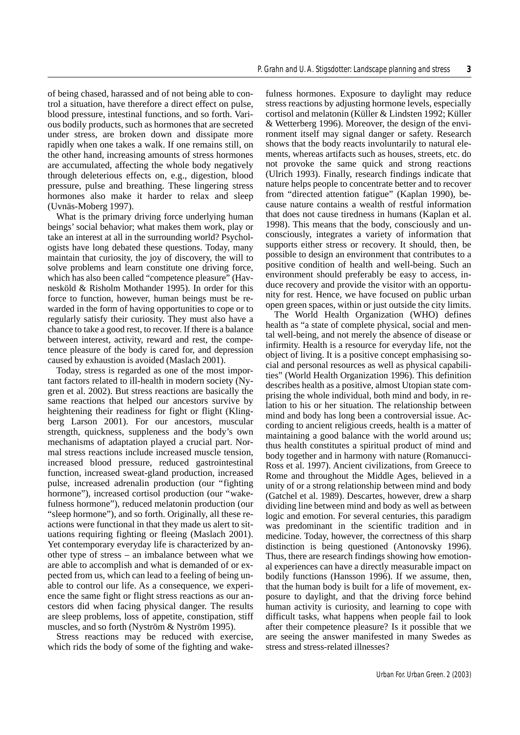of being chased, harassed and of not being able to control a situation, have therefore a direct effect on pulse, blood pressure, intestinal functions, and so forth. Various bodily products, such as hormones that are secreted under stress, are broken down and dissipate more rapidly when one takes a walk. If one remains still, on the other hand, increasing amounts of stress hormones are accumulated, affecting the whole body negatively through deleterious effects on, e.g., digestion, blood pressure, pulse and breathing. These lingering stress hormones also make it harder to relax and sleep (Uvnäs-Moberg 1997).

What is the primary driving force underlying human beings' social behavior; what makes them work, play or take an interest at all in the surrounding world? Psychologists have long debated these questions. Today, many maintain that curiosity, the joy of discovery, the will to solve problems and learn constitute one driving force, which has also been called "competence pleasure" (Havnesköld & Risholm Mothander 1995). In order for this force to function, however, human beings must be rewarded in the form of having opportunities to cope or to regularly satisfy their curiosity. They must also have a chance to take a good rest, to recover. If there is a balance between interest, activity, reward and rest, the competence pleasure of the body is cared for, and depression caused by exhaustion is avoided (Maslach 2001).

Today, stress is regarded as one of the most important factors related to ill-health in modern society (Nygren et al. 2002). But stress reactions are basically the same reactions that helped our ancestors survive by heightening their readiness for fight or flight (Klingberg Larson 2001). For our ancestors, muscular strength, quickness, suppleness and the body's own mechanisms of adaptation played a crucial part. Normal stress reactions include increased muscle tension, increased blood pressure, reduced gastrointestinal function, increased sweat-gland production, increased pulse, increased adrenalin production (our "fighting hormone"), increased cortisol production (our "wakefulness hormone"), reduced melatonin production (our "sleep hormone"), and so forth. Originally, all these reactions were functional in that they made us alert to situations requiring fighting or fleeing (Maslach 2001). Yet contemporary everyday life is characterized by another type of stress – an imbalance between what we are able to accomplish and what is demanded of or expected from us, which can lead to a feeling of being unable to control our life. As a consequence, we experience the same fight or flight stress reactions as our ancestors did when facing physical danger. The results are sleep problems, loss of appetite, constipation, stiff muscles, and so forth (Nyström & Nyström 1995).

Stress reactions may be reduced with exercise, which rids the body of some of the fighting and wakefulness hormones. Exposure to daylight may reduce stress reactions by adjusting hormone levels, especially cortisol and melatonin (Küller & Lindsten 1992; Küller & Wetterberg 1996). Moreover, the design of the environment itself may signal danger or safety. Research shows that the body reacts involuntarily to natural elements, whereas artifacts such as houses, streets, etc. do not provoke the same quick and strong reactions (Ulrich 1993). Finally, research findings indicate that nature helps people to concentrate better and to recover from "directed attention fatigue" (Kaplan 1990), because nature contains a wealth of restful information that does not cause tiredness in humans (Kaplan et al. 1998). This means that the body, consciously and unconsciously, integrates a variety of information that supports either stress or recovery. It should, then, be possible to design an environment that contributes to a positive condition of health and well-being. Such an environment should preferably be easy to access, induce recovery and provide the visitor with an opportunity for rest. Hence, we have focused on public urban open green spaces, within or just outside the city limits.

The World Health Organization (WHO) defines health as "a state of complete physical, social and mental well-being, and not merely the absence of disease or infirmity. Health is a resource for everyday life, not the object of living. It is a positive concept emphasising social and personal resources as well as physical capabilities" (World Health Organization 1996). This definition describes health as a positive, almost Utopian state comprising the whole individual, both mind and body, in relation to his or her situation. The relationship between mind and body has long been a controversial issue. According to ancient religious creeds, health is a matter of maintaining a good balance with the world around us; thus health constitutes a spiritual product of mind and body together and in harmony with nature (Romanucci-Ross et al. 1997). Ancient civilizations, from Greece to Rome and throughout the Middle Ages, believed in a unity of or a strong relationship between mind and body (Gatchel et al. 1989). Descartes, however, drew a sharp dividing line between mind and body as well as between logic and emotion. For several centuries, this paradigm was predominant in the scientific tradition and in medicine. Today, however, the correctness of this sharp distinction is being questioned (Antonovsky 1996). Thus, there are research findings showing how emotional experiences can have a directly measurable impact on bodily functions (Hansson 1996). If we assume, then, that the human body is built for a life of movement, exposure to daylight, and that the driving force behind human activity is curiosity, and learning to cope with difficult tasks, what happens when people fail to look after their competence pleasure? Is it possible that we are seeing the answer manifested in many Swedes as stress and stress-related illnesses?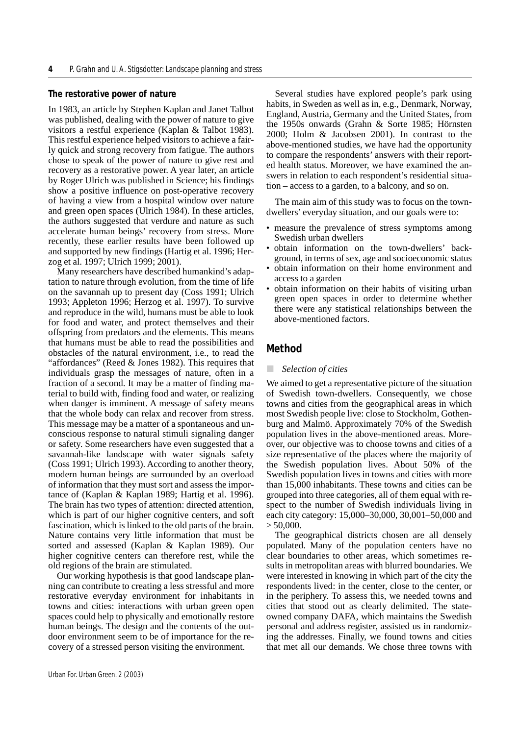#### **The restorative power of nature**

In 1983, an article by Stephen Kaplan and Janet Talbot was published, dealing with the power of nature to give visitors a restful experience (Kaplan & Talbot 1983). This restful experience helped visitors to achieve a fairly quick and strong recovery from fatigue. The authors chose to speak of the power of nature to give rest and recovery as a restorative power. A year later, an article by Roger Ulrich was published in Science; his findings show a positive influence on post-operative recovery of having a view from a hospital window over nature and green open spaces (Ulrich 1984). In these articles, the authors suggested that verdure and nature as such accelerate human beings' recovery from stress. More recently, these earlier results have been followed up and supported by new findings (Hartig et al. 1996; Herzog et al. 1997; Ulrich 1999; 2001).

Many researchers have described humankind's adaptation to nature through evolution, from the time of life on the savannah up to present day (Coss 1991; Ulrich 1993; Appleton 1996; Herzog et al. 1997). To survive and reproduce in the wild, humans must be able to look for food and water, and protect themselves and their offspring from predators and the elements. This means that humans must be able to read the possibilities and obstacles of the natural environment, i.e., to read the "affordances" (Reed & Jones 1982). This requires that individuals grasp the messages of nature, often in a fraction of a second. It may be a matter of finding material to build with, finding food and water, or realizing when danger is imminent. A message of safety means that the whole body can relax and recover from stress. This message may be a matter of a spontaneous and unconscious response to natural stimuli signaling danger or safety. Some researchers have even suggested that a savannah-like landscape with water signals safety (Coss 1991; Ulrich 1993). According to another theory, modern human beings are surrounded by an overload of information that they must sort and assess the importance of (Kaplan & Kaplan 1989; Hartig et al. 1996). The brain has two types of attention: directed attention, which is part of our higher cognitive centers, and soft fascination, which is linked to the old parts of the brain. Nature contains very little information that must be sorted and assessed (Kaplan & Kaplan 1989). Our higher cognitive centers can therefore rest, while the old regions of the brain are stimulated.

Our working hypothesis is that good landscape planning can contribute to creating a less stressful and more restorative everyday environment for inhabitants in towns and cities: interactions with urban green open spaces could help to physically and emotionally restore human beings. The design and the contents of the outdoor environment seem to be of importance for the recovery of a stressed person visiting the environment.

Several studies have explored people's park using habits, in Sweden as well as in, e.g., Denmark, Norway, England, Austria, Germany and the United States, from the 1950s onwards (Grahn & Sorte 1985; Hörnsten 2000; Holm & Jacobsen 2001). In contrast to the above-mentioned studies, we have had the opportunity to compare the respondents' answers with their reported health status. Moreover, we have examined the answers in relation to each respondent's residential situation – access to a garden, to a balcony, and so on.

The main aim of this study was to focus on the towndwellers' everyday situation, and our goals were to:

- measure the prevalence of stress symptoms among Swedish urban dwellers
- obtain information on the town-dwellers' background, in terms of sex, age and socioeconomic status
- obtain information on their home environment and access to a garden
- obtain information on their habits of visiting urban green open spaces in order to determine whether there were any statistical relationships between the above-mentioned factors.

### **Method**

#### -*Selection of cities*

We aimed to get a representative picture of the situation of Swedish town-dwellers. Consequently, we chose towns and cities from the geographical areas in which most Swedish people live: close to Stockholm, Gothenburg and Malmö. Approximately 70% of the Swedish population lives in the above-mentioned areas. Moreover, our objective was to choose towns and cities of a size representative of the places where the majority of the Swedish population lives. About 50% of the Swedish population lives in towns and cities with more than 15,000 inhabitants. These towns and cities can be grouped into three categories, all of them equal with respect to the number of Swedish individuals living in each city category: 15,000–30,000, 30,001–50,000 and  $> 50,000.$ 

The geographical districts chosen are all densely populated. Many of the population centers have no clear boundaries to other areas, which sometimes results in metropolitan areas with blurred boundaries. We were interested in knowing in which part of the city the respondents lived: in the center, close to the center, or in the periphery. To assess this, we needed towns and cities that stood out as clearly delimited. The stateowned company DAFA, which maintains the Swedish personal and address register, assisted us in randomizing the addresses. Finally, we found towns and cities that met all our demands. We chose three towns with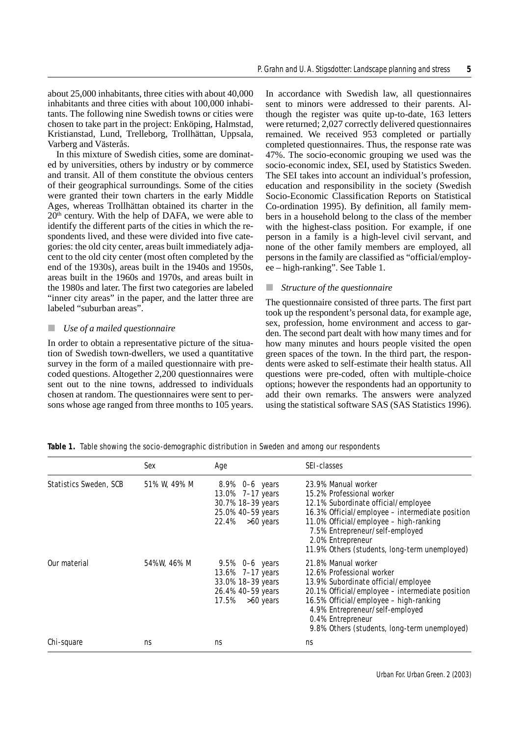about 25,000 inhabitants, three cities with about 40,000 inhabitants and three cities with about 100,000 inhabitants. The following nine Swedish towns or cities were chosen to take part in the project: Enköping, Halmstad, Kristianstad, Lund, Trelleborg, Trollhättan, Uppsala, Varberg and Västerås.

In this mixture of Swedish cities, some are dominated by universities, others by industry or by commerce and transit. All of them constitute the obvious centers of their geographical surroundings. Some of the cities were granted their town charters in the early Middle Ages, whereas Trollhättan obtained its charter in the  $20<sup>th</sup>$  century. With the help of DAFA, we were able to identify the different parts of the cities in which the respondents lived, and these were divided into five categories: the old city center, areas built immediately adjacent to the old city center (most often completed by the end of the 1930s), areas built in the 1940s and 1950s, areas built in the 1960s and 1970s, and areas built in the 1980s and later. The first two categories are labeled "inner city areas" in the paper, and the latter three are labeled "suburban areas".

#### **I** Use of a mailed questionnaire

In order to obtain a representative picture of the situation of Swedish town-dwellers, we used a quantitative survey in the form of a mailed questionnaire with precoded questions. Altogether 2,200 questionnaires were sent out to the nine towns, addressed to individuals chosen at random. The questionnaires were sent to persons whose age ranged from three months to 105 years.

In accordance with Swedish law, all questionnaires sent to minors were addressed to their parents. Although the register was quite up-to-date, 163 letters were returned; 2,027 correctly delivered questionnaires remained. We received 953 completed or partially completed questionnaires. Thus, the response rate was 47%. The socio-economic grouping we used was the socio-economic index, SEI, used by Statistics Sweden. The SEI takes into account an individual's profession, education and responsibility in the society (Swedish Socio-Economic Classification Reports on Statistical Co-ordination 1995). By definition, all family members in a household belong to the class of the member with the highest-class position. For example, if one person in a family is a high-level civil servant, and none of the other family members are employed, all persons in the family are classified as "official/employee – high-ranking". See Table 1.

#### **E** Structure of the questionnaire

The questionnaire consisted of three parts. The first part took up the respondent's personal data, for example age, sex, profession, home environment and access to garden. The second part dealt with how many times and for how many minutes and hours people visited the open green spaces of the town. In the third part, the respondents were asked to self-estimate their health status. All questions were pre-coded, often with multiple-choice options; however the respondents had an opportunity to add their own remarks. The answers were analyzed using the statistical software SAS (SAS Statistics 1996).

|                        | Sex          | Age                                                                                                | SEI-classes                                                                                                                                                                                                                                                                                   |
|------------------------|--------------|----------------------------------------------------------------------------------------------------|-----------------------------------------------------------------------------------------------------------------------------------------------------------------------------------------------------------------------------------------------------------------------------------------------|
| Statistics Sweden, SCB | 51% W, 49% M | 8.9% 0-6 years<br>13.0% 7-17 years<br>30.7% 18-39 years<br>25.0% 40-59 years<br>22.4% >60 years    | 23.9% Manual worker<br>15.2% Professional worker<br>12.1% Subordinate official/employee<br>16.3% Official/employee - intermediate position<br>11.0% Official/employee - high-ranking<br>7.5% Entrepreneur/self-employed<br>2.0% Entrepreneur<br>11.9% Others (students, long-term unemployed) |
| Our material           | 54%W, 46% M  | 9.5% 0-6 years<br>13.6% 7-17 years<br>33.0% 18-39 years<br>26.4% 40-59 years<br>17.5%<br>>60 years | 21.8% Manual worker<br>12.6% Professional worker<br>13.9% Subordinate official/employee<br>20.1% Official/employee – intermediate position<br>16.5% Official/employee - high-ranking<br>4.9% Entrepreneur/self-employed<br>0.4% Entrepreneur<br>9.8% Others (students, long-term unemployed)  |
| Chi-square             | ns           | ns                                                                                                 | ns                                                                                                                                                                                                                                                                                            |

**Table 1.** Table showing the socio-demographic distribution in Sweden and among our respondents

Urban For. Urban Green. 2 (2003)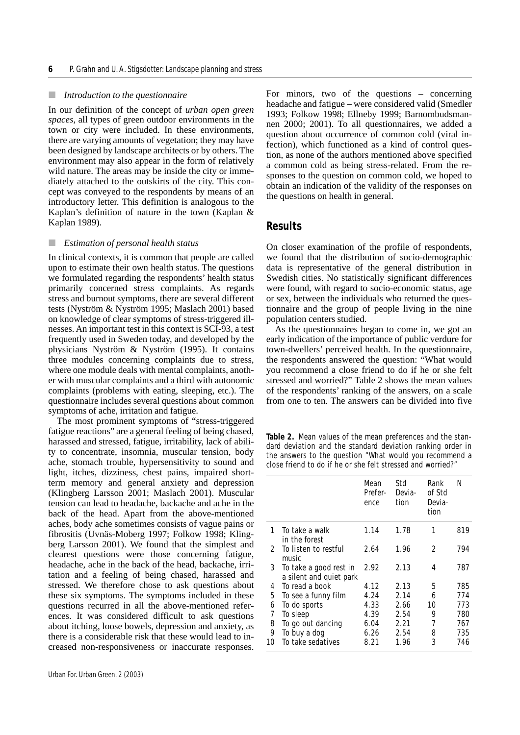#### **Introduction to the questionnaire**

In our definition of the concept of *urban open green spaces*, all types of green outdoor environments in the town or city were included. In these environments, there are varying amounts of vegetation; they may have been designed by landscape architects or by others. The environment may also appear in the form of relatively wild nature. The areas may be inside the city or immediately attached to the outskirts of the city. This concept was conveyed to the respondents by means of an introductory letter. This definition is analogous to the Kaplan's definition of nature in the town (Kaplan & Kaplan 1989).

#### -*Estimation of personal health status*

In clinical contexts, it is common that people are called upon to estimate their own health status. The questions we formulated regarding the respondents' health status primarily concerned stress complaints. As regards stress and burnout symptoms, there are several different tests (Nyström & Nyström 1995; Maslach 2001) based on knowledge of clear symptoms of stress-triggered illnesses. An important test in this context is SCI-93, a test frequently used in Sweden today, and developed by the physicians Nyström & Nyström (1995). It contains three modules concerning complaints due to stress, where one module deals with mental complaints, another with muscular complaints and a third with autonomic complaints (problems with eating, sleeping, etc.). The questionnaire includes several questions about common symptoms of ache, irritation and fatigue.

The most prominent symptoms of "stress-triggered fatigue reactions" are a general feeling of being chased, harassed and stressed, fatigue, irritability, lack of ability to concentrate, insomnia, muscular tension, body ache, stomach trouble, hypersensitivity to sound and light, itches, dizziness, chest pains, impaired shortterm memory and general anxiety and depression (Klingberg Larsson 2001; Maslach 2001). Muscular tension can lead to headache, backache and ache in the back of the head. Apart from the above-mentioned aches, body ache sometimes consists of vague pains or fibrositis (Uvnäs-Moberg 1997; Folkow 1998; Klingberg Larsson 2001). We found that the simplest and clearest questions were those concerning fatigue, headache, ache in the back of the head, backache, irritation and a feeling of being chased, harassed and stressed. We therefore chose to ask questions about these six symptoms. The symptoms included in these questions recurred in all the above-mentioned references. It was considered difficult to ask questions about itching, loose bowels, depression and anxiety, as there is a considerable risk that these would lead to increased non-responsiveness or inaccurate responses.

For minors, two of the questions – concerning headache and fatigue – were considered valid (Smedler 1993; Folkow 1998; Ellneby 1999; Barnombudsmannen 2000; 2001). To all questionnaires, we added a question about occurrence of common cold (viral infection), which functioned as a kind of control question, as none of the authors mentioned above specified a common cold as being stress-related. From the responses to the question on common cold, we hoped to obtain an indication of the validity of the responses on the questions on health in general.

### **Results**

On closer examination of the profile of respondents, we found that the distribution of socio-demographic data is representative of the general distribution in Swedish cities. No statistically significant differences were found, with regard to socio-economic status, age or sex, between the individuals who returned the questionnaire and the group of people living in the nine population centers studied.

As the questionnaires began to come in, we got an early indication of the importance of public verdure for town-dwellers' perceived health. In the questionnaire, the respondents answered the question: "What would you recommend a close friend to do if he or she felt stressed and worried?" Table 2 shows the mean values of the respondents' ranking of the answers, on a scale from one to ten. The answers can be divided into five

**Table 2.** Mean values of the mean preferences and the standard deviation and the standard deviation ranking order in the answers to the question "What would you recommend a close friend to do if he or she felt stressed and worried?"

|    |                                                   | Mean<br>Prefer-<br>ence | Std<br>Devia-<br>tion | Rank<br>of Std<br>Devia-<br>tion | Ν   |
|----|---------------------------------------------------|-------------------------|-----------------------|----------------------------------|-----|
| 1  | To take a walk<br>in the forest                   | 1.14                    | 1.78                  | 1                                | 819 |
| 2  | To listen to restful<br>music                     | 2.64                    | 1.96                  | $\mathcal{P}$                    | 794 |
| 3  | To take a good rest in<br>a silent and quiet park | 2.92                    | 2.13                  | 4                                | 787 |
| 4  | To read a book                                    | 4.12                    | 2.13                  | 5                                | 785 |
| 5  | To see a funny film                               | 4.24                    | 2.14                  | 6                                | 774 |
| 6  | To do sports                                      | 4.33                    | 2.66                  | 10                               | 773 |
| 7  | To sleep                                          | 4.39                    | 2.54                  | 9                                | 780 |
| 8  | To go out dancing                                 | 6.04                    | 2.21                  | 7                                | 767 |
| 9  | To buy a dog                                      | 6.26                    | 2.54                  | 8                                | 735 |
| 10 | To take sedatives                                 | 8.21                    | 1.96                  | 3                                | 746 |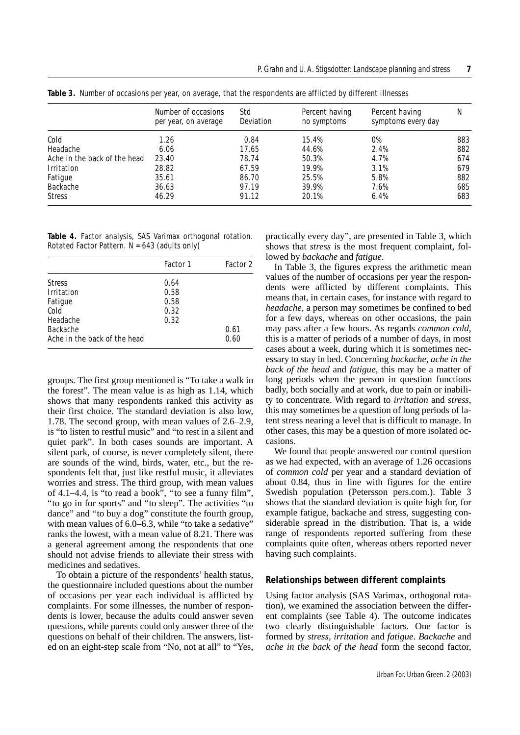|                              | Number of occasions  | Std<br>Deviation | Percent having<br>no symptoms | Percent having<br>symptoms every day | N   |
|------------------------------|----------------------|------------------|-------------------------------|--------------------------------------|-----|
|                              | per year, on average |                  |                               |                                      |     |
| Cold                         | 1.26                 | 0.84             | 15.4%                         | $0\%$                                | 883 |
| Headache                     | 6.06                 | 17.65            | 44.6%                         | 2.4%                                 | 882 |
| Ache in the back of the head | 23.40                | 78.74            | 50.3%                         | 4.7%                                 | 674 |
| <b>Irritation</b>            | 28.82                | 67.59            | 19.9%                         | 3.1%                                 | 679 |
| Fatigue                      | 35.61                | 86.70            | 25.5%                         | 5.8%                                 | 882 |
| Backache                     | 36.63                | 97.19            | 39.9%                         | 7.6%                                 | 685 |
| <b>Stress</b>                | 46.29                | 91.12            | 20.1%                         | 6.4%                                 | 683 |

**Table 3.** Number of occasions per year, on average, that the respondents are afflicted by different illnesses

**Table 4.** Factor analysis, SAS Varimax orthogonal rotation. Rotated Factor Pattern.  $N = 643$  (adults only)

|                              | Factor 1 | Factor 2 |
|------------------------------|----------|----------|
| <b>Stress</b>                | 0.64     |          |
| Irritation                   | 0.58     |          |
| Fatigue                      | 0.58     |          |
| Cold                         | 0.32     |          |
| Headache                     | 0.32     |          |
| <b>Backache</b>              |          | 0.61     |
| Ache in the back of the head |          | 0.60     |

groups. The first group mentioned is "To take a walk in the forest". The mean value is as high as 1.14, which shows that many respondents ranked this activity as their first choice. The standard deviation is also low, 1.78. The second group, with mean values of 2.6–2.9, is "to listen to restful music" and "to rest in a silent and quiet park". In both cases sounds are important. A silent park, of course, is never completely silent, there are sounds of the wind, birds, water, etc., but the respondents felt that, just like restful music, it alleviates worries and stress. The third group, with mean values of 4.1–4.4, is "to read a book", "to see a funny film", "to go in for sports" and "to sleep". The activities "to dance" and "to buy a dog" constitute the fourth group, with mean values of 6.0–6.3, while "to take a sedative" ranks the lowest, with a mean value of 8.21. There was a general agreement among the respondents that one should not advise friends to alleviate their stress with medicines and sedatives.

To obtain a picture of the respondents' health status, the questionnaire included questions about the number of occasions per year each individual is afflicted by complaints. For some illnesses, the number of respondents is lower, because the adults could answer seven questions, while parents could only answer three of the questions on behalf of their children. The answers, listed on an eight-step scale from "No, not at all" to "Yes,

practically every day", are presented in Table 3, which shows that *stress* is the most frequent complaint, followed by *backache* and *fatigue*.

In Table 3, the figures express the arithmetic mean values of the number of occasions per year the respondents were afflicted by different complaints. This means that, in certain cases, for instance with regard to *headache*, a person may sometimes be confined to bed for a few days, whereas on other occasions, the pain may pass after a few hours. As regards *common cold*, this is a matter of periods of a number of days, in most cases about a week, during which it is sometimes necessary to stay in bed. Concerning *backache*, *ache in the back of the head* and *fatigue*, this may be a matter of long periods when the person in question functions badly, both socially and at work, due to pain or inability to concentrate. With regard to *irritation* and *stress*, this may sometimes be a question of long periods of latent stress nearing a level that is difficult to manage. In other cases, this may be a question of more isolated occasions.

We found that people answered our control question as we had expected, with an average of 1.26 occasions of *common cold* per year and a standard deviation of about 0.84, thus in line with figures for the entire Swedish population (Petersson pers.com.). Table 3 shows that the standard deviation is quite high for, for example fatigue, backache and stress, suggesting considerable spread in the distribution. That is, a wide range of respondents reported suffering from these complaints quite often, whereas others reported never having such complaints.

#### **Relationships between different complaints**

Using factor analysis (SAS Varimax, orthogonal rotation), we examined the association between the different complaints (see Table 4). The outcome indicates two clearly distinguishable factors. One factor is formed by *stress*, *irritation* and *fatigue*. *Backache* and *ache in the back of the head* form the second factor,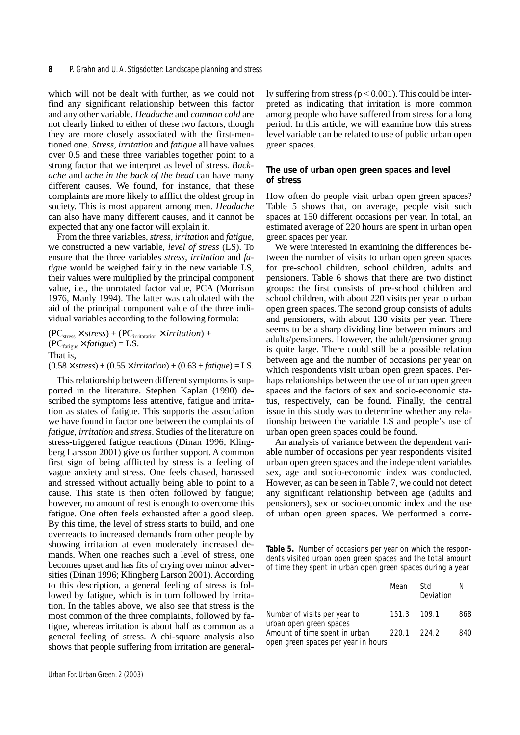which will not be dealt with further, as we could not find any significant relationship between this factor and any other variable. *Headache* and *common cold* are not clearly linked to either of these two factors, though they are more closely associated with the first-mentioned one. *Stress, irritation* and *fatigue* all have values over 0.5 and these three variables together point to a strong factor that we interpret as level of stress. *Backache* and *ache in the back of the head* can have many different causes. We found, for instance, that these complaints are more likely to afflict the oldest group in society. This is most apparent among men. *Headache* can also have many different causes, and it cannot be expected that any one factor will explain it.

From the three variables, *stress*, *irritation* and *fatigue*, we constructed a new variable, *level of stress* (LS). To ensure that the three variables *stress*, *irritation* and *fatigue* would be weighed fairly in the new variable LS, their values were multiplied by the principal component value, i.e., the unrotated factor value, PCA (Morrison 1976, Manly 1994). The latter was calculated with the aid of the principal component value of the three individual variables according to the following formula:

 $(PC_{stress} \times stress) + (PC_{iritation} \times irritation) +$  $(PC<sub>fatique</sub> \times *fatigue*) = LS.$ That is,

 $(0.58 \times stress) + (0.55 \times irritation) + (0.63 + fatigue) = LS.$ 

This relationship between different symptoms is supported in the literature. Stephen Kaplan (1990) described the symptoms less attentive, fatigue and irritation as states of fatigue. This supports the association we have found in factor one between the complaints of *fatigue*, *irritation* and *stress*. Studies of the literature on stress-triggered fatigue reactions (Dinan 1996; Klingberg Larsson 2001) give us further support. A common first sign of being afflicted by stress is a feeling of vague anxiety and stress. One feels chased, harassed and stressed without actually being able to point to a cause. This state is then often followed by fatigue; however, no amount of rest is enough to overcome this fatigue. One often feels exhausted after a good sleep. By this time, the level of stress starts to build, and one overreacts to increased demands from other people by showing irritation at even moderately increased demands. When one reaches such a level of stress, one becomes upset and has fits of crying over minor adversities (Dinan 1996; Klingberg Larson 2001). According to this description, a general feeling of stress is followed by fatigue, which is in turn followed by irritation. In the tables above, we also see that stress is the most common of the three complaints, followed by fatigue, whereas irritation is about half as common as a general feeling of stress. A chi-square analysis also shows that people suffering from irritation are generally suffering from stress ( $p < 0.001$ ). This could be interpreted as indicating that irritation is more common among people who have suffered from stress for a long period. In this article, we will examine how this stress level variable can be related to use of public urban open green spaces.

#### **The use of urban open green spaces and level of stress**

How often do people visit urban open green spaces? Table 5 shows that, on average, people visit such spaces at 150 different occasions per year. In total, an estimated average of 220 hours are spent in urban open green spaces per year.

We were interested in examining the differences between the number of visits to urban open green spaces for pre-school children, school children, adults and pensioners. Table 6 shows that there are two distinct groups: the first consists of pre-school children and school children, with about 220 visits per year to urban open green spaces. The second group consists of adults and pensioners, with about 130 visits per year. There seems to be a sharp dividing line between minors and adults/pensioners. However, the adult/pensioner group is quite large. There could still be a possible relation between age and the number of occasions per year on which respondents visit urban open green spaces. Perhaps relationships between the use of urban open green spaces and the factors of sex and socio-economic status, respectively, can be found. Finally, the central issue in this study was to determine whether any relationship between the variable LS and people's use of urban open green spaces could be found.

An analysis of variance between the dependent variable number of occasions per year respondents visited urban open green spaces and the independent variables sex, age and socio-economic index was conducted. However, as can be seen in Table 7, we could not detect any significant relationship between age (adults and pensioners), sex or socio-economic index and the use of urban open green spaces. We performed a corre-

**Table 5.** Number of occasions per year on which the respondents visited urban open green spaces and the total amount of time they spent in urban open green spaces during a year

|                                                                      | Mean  | Std<br>Deviation | N   |
|----------------------------------------------------------------------|-------|------------------|-----|
| Number of visits per year to<br>urban open green spaces              | 151.3 | 109.1            | 868 |
| Amount of time spent in urban<br>open green spaces per year in hours | 220.1 | 224.2            | 840 |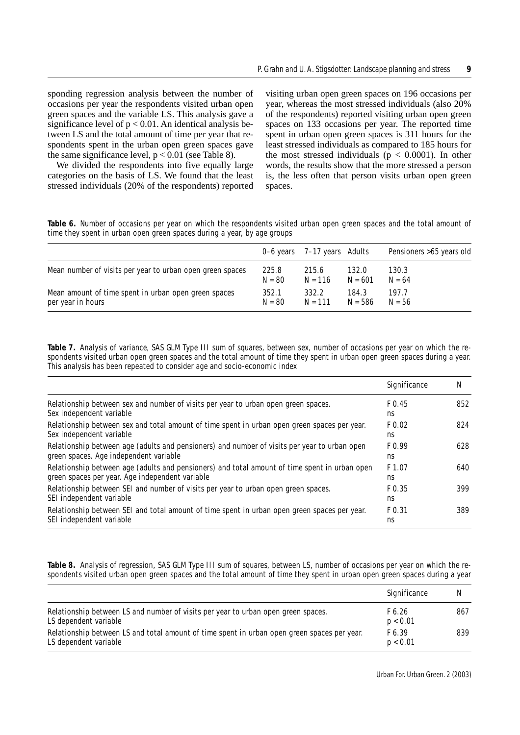sponding regression analysis between the number of occasions per year the respondents visited urban open green spaces and the variable LS. This analysis gave a significance level of  $p < 0.01$ . An identical analysis between LS and the total amount of time per year that respondents spent in the urban open green spaces gave the same significance level,  $p < 0.01$  (see Table 8).

We divided the respondents into five equally large categories on the basis of LS. We found that the least stressed individuals (20% of the respondents) reported visiting urban open green spaces on 196 occasions per year, whereas the most stressed individuals (also 20% of the respondents) reported visiting urban open green spaces on 133 occasions per year. The reported time spent in urban open green spaces is 311 hours for the least stressed individuals as compared to 185 hours for the most stressed individuals ( $p < 0.0001$ ). In other words, the results show that the more stressed a person is, the less often that person visits urban open green spaces.

**Table 6.** Number of occasions per year on which the respondents visited urban open green spaces and the total amount of time they spent in urban open green spaces during a year, by age groups

|                                                           |          | 0–6 years 7–17 years Adults |           | Pensioners >65 years old |
|-----------------------------------------------------------|----------|-----------------------------|-----------|--------------------------|
| Mean number of visits per year to urban open green spaces | 225.8    | 215.6                       | 132.0     | 130.3                    |
|                                                           | $N = 80$ | $N = 116$                   | $N = 601$ | $N = 64$                 |
| Mean amount of time spent in urban open green spaces      | 352.1    | 332.2                       | 184.3     | 197.7                    |
| per year in hours                                         | $N = 80$ | $N = 111$                   | $N = 586$ | $N = 56$                 |

**Table 7.** Analysis of variance, SAS GLM Type III sum of squares, between sex, number of occasions per year on which the respondents visited urban open green spaces and the total amount of time they spent in urban open green spaces during a year. This analysis has been repeated to consider age and socio-economic index

|                                                                                                                                                  | Significance     | N   |
|--------------------------------------------------------------------------------------------------------------------------------------------------|------------------|-----|
| Relationship between sex and number of visits per year to urban open green spaces.<br>Sex independent variable                                   | F 0.45<br>ns     | 852 |
| Relationship between sex and total amount of time spent in urban open green spaces per year.<br>Sex independent variable                         | $F_{0.02}$<br>ns | 824 |
| Relationship between age (adults and pensioners) and number of visits per year to urban open<br>green spaces. Age independent variable           | F 0.99<br>ns     | 628 |
| Relationship between age (adults and pensioners) and total amount of time spent in urban open<br>green spaces per year. Age independent variable | F 1.07<br>ns     | 640 |
| Relationship between SEI and number of visits per year to urban open green spaces.<br>SEI independent variable                                   | $F_{0.35}$<br>ns | 399 |
| Relationship between SEI and total amount of time spent in urban open green spaces per year.<br>SEI independent variable                         | F 0.31<br>ns     | 389 |

**Table 8.** Analysis of regression, SAS GLM Type III sum of squares, between LS, number of occasions per year on which the respondents visited urban open green spaces and the total amount of time they spent in urban open green spaces during a year

|                                                                                                                      | Significance       | N   |
|----------------------------------------------------------------------------------------------------------------------|--------------------|-----|
| Relationship between LS and number of visits per year to urban open green spaces.<br>LS dependent variable           | F 6.26<br>p < 0.01 | 867 |
| Relationship between LS and total amount of time spent in urban open green spaces per year.<br>LS dependent variable | F 6.39<br>p < 0.01 | 839 |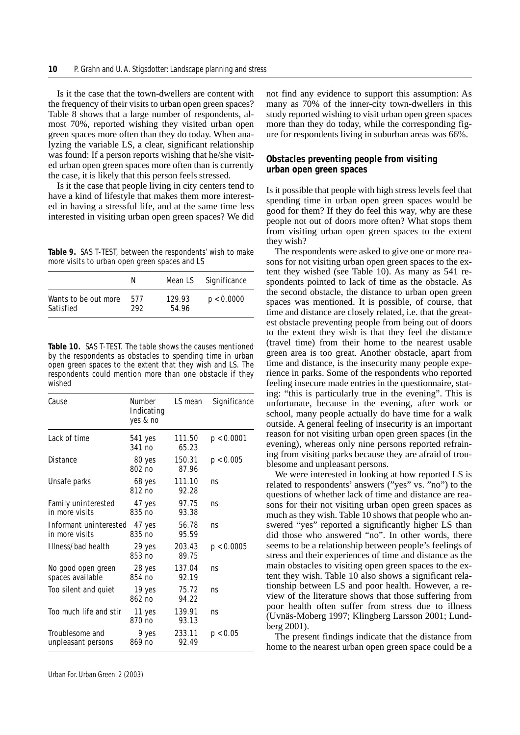Is it the case that the town-dwellers are content with the frequency of their visits to urban open green spaces? Table 8 shows that a large number of respondents, almost 70%, reported wishing they visited urban open green spaces more often than they do today. When analyzing the variable LS, a clear, significant relationship was found: If a person reports wishing that he/she visited urban open green spaces more often than is currently the case, it is likely that this person feels stressed.

Is it the case that people living in city centers tend to have a kind of lifestyle that makes them more interested in having a stressful life, and at the same time less interested in visiting urban open green spaces? We did

**Table 9.** SAS T-TEST, between the respondents' wish to make more visits to urban open green spaces and LS

|                      | N   | Mean LS | Significance |
|----------------------|-----|---------|--------------|
| Wants to be out more | 577 | 129.93  | p < 0.0000   |
| Satisfied            | 292 | 54.96   |              |

**Table 10.** SAS T-TEST. The table shows the causes mentioned by the respondents as obstacles to spending time in urban open green spaces to the extent that they wish and LS. The respondents could mention more than one obstacle if they wished

| Cause                                    | <b>Number</b><br>Indicating<br>yes & no | LS mean         | Significance |
|------------------------------------------|-----------------------------------------|-----------------|--------------|
| Lack of time                             | $541$ yes<br>341 no                     | 111.50<br>65.23 | p < 0.0001   |
| Distance                                 | 80 yes<br>$802$ no                      | 150.31<br>87.96 | p < 0.005    |
| Unsafe parks                             | 68 yes<br>812 no                        | 111.10<br>92.28 | ns           |
| Family uninterested<br>in more visits    | 47 yes<br>835 no                        | 97.75<br>93.38  | ns           |
| Informant uninterested<br>in more visits | 47 yes<br>835 no                        | 56.78<br>95.59  | ns           |
| Illness/bad health                       | 29 yes<br>853 no                        | 203.43<br>89.75 | p < 0.0005   |
| No good open green<br>spaces available   | 28 yes<br>854 no                        | 137.04<br>92.19 | ns           |
| Too silent and quiet                     | 19 yes<br>862 no                        | 75.72<br>94.22  | ns           |
| Too much life and stir                   | 11 yes<br>870 no                        | 139.91<br>93.13 | ns           |
| Troublesome and<br>unpleasant persons    | 9 yes<br>869 no                         | 233.11<br>92.49 | p < 0.05     |

not find any evidence to support this assumption: As many as 70% of the inner-city town-dwellers in this study reported wishing to visit urban open green spaces more than they do today, while the corresponding figure for respondents living in suburban areas was 66%.

#### **Obstacles preventing people from visiting urban open green spaces**

Is it possible that people with high stress levels feel that spending time in urban open green spaces would be good for them? If they do feel this way, why are these people not out of doors more often? What stops them from visiting urban open green spaces to the extent they wish?

The respondents were asked to give one or more reasons for not visiting urban open green spaces to the extent they wished (see Table 10). As many as 541 respondents pointed to lack of time as the obstacle. As the second obstacle, the distance to urban open green spaces was mentioned. It is possible, of course, that time and distance are closely related, i.e. that the greatest obstacle preventing people from being out of doors to the extent they wish is that they feel the distance (travel time) from their home to the nearest usable green area is too great. Another obstacle, apart from time and distance, is the insecurity many people experience in parks. Some of the respondents who reported feeling insecure made entries in the questionnaire, stating: "this is particularly true in the evening". This is unfortunate, because in the evening, after work or school, many people actually do have time for a walk outside. A general feeling of insecurity is an important reason for not visiting urban open green spaces (in the evening), whereas only nine persons reported refraining from visiting parks because they are afraid of troublesome and unpleasant persons.

We were interested in looking at how reported LS is related to respondents' answers ("yes" vs. "no") to the questions of whether lack of time and distance are reasons for their not visiting urban open green spaces as much as they wish. Table 10 shows that people who answered "yes" reported a significantly higher LS than did those who answered "no". In other words, there seems to be a relationship between people's feelings of stress and their experiences of time and distance as the main obstacles to visiting open green spaces to the extent they wish. Table 10 also shows a significant relationship between LS and poor health. However, a review of the literature shows that those suffering from poor health often suffer from stress due to illness (Uvnäs-Moberg 1997; Klingberg Larsson 2001; Lundberg 2001).

The present findings indicate that the distance from home to the nearest urban open green space could be a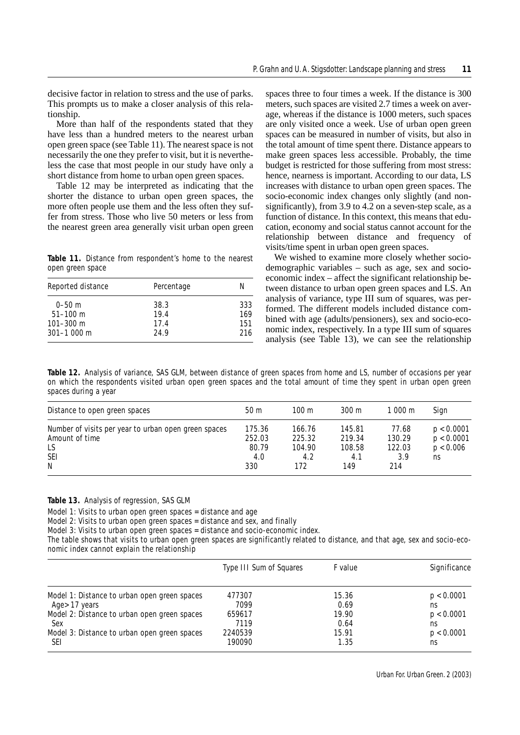decisive factor in relation to stress and the use of parks. This prompts us to make a closer analysis of this relationship.

More than half of the respondents stated that they have less than a hundred meters to the nearest urban open green space (see Table 11). The nearest space is not necessarily the one they prefer to visit, but it is nevertheless the case that most people in our study have only a short distance from home to urban open green spaces.

Table 12 may be interpreted as indicating that the shorter the distance to urban open green spaces, the more often people use them and the less often they suffer from stress. Those who live 50 meters or less from the nearest green area generally visit urban open green

**Table 11.** Distance from respondent's home to the nearest open green space

| Reported distance | Percentage | N   |
|-------------------|------------|-----|
| $0 - 50$ m        | 38.3       | 333 |
| $51 - 100$ m      | 19.4       | 169 |
| $101 - 300$ m     | 17.4       | 151 |
| $301 - 1000$ m    | 24.9       | 216 |

spaces three to four times a week. If the distance is 300 meters, such spaces are visited 2.7 times a week on average, whereas if the distance is 1000 meters, such spaces are only visited once a week. Use of urban open green spaces can be measured in number of visits, but also in the total amount of time spent there. Distance appears to make green spaces less accessible. Probably, the time budget is restricted for those suffering from most stress: hence, nearness is important. According to our data, LS increases with distance to urban open green spaces. The socio-economic index changes only slightly (and nonsignificantly), from 3.9 to 4.2 on a seven-step scale, as a function of distance. In this context, this means that education, economy and social status cannot account for the relationship between distance and frequency of visits/time spent in urban open green spaces.

We wished to examine more closely whether sociodemographic variables – such as age, sex and socioeconomic index – affect the significant relationship between distance to urban open green spaces and LS. An analysis of variance, type III sum of squares, was performed. The different models included distance combined with age (adults/pensioners), sex and socio-economic index, respectively. In a type III sum of squares analysis (see Table 13), we can see the relationship

**Table 12.** Analysis of variance, SAS GLM, between distance of green spaces from home and LS, number of occasions per year on which the respondents visited urban open green spaces and the total amount of time they spent in urban open green spaces during a year

| Distance to open green spaces                        | 50 <sub>m</sub> | $100 \text{ m}$ | $300 \text{ m}$ | 1000 m | Sign       |
|------------------------------------------------------|-----------------|-----------------|-----------------|--------|------------|
| Number of visits per year to urban open green spaces | 175.36          | 166.76          | 145.81          | 77.68  | p < 0.0001 |
| Amount of time                                       | 252.03          | 225.32          | 219.34          | 130.29 | p < 0.0001 |
| LS.                                                  | 80.79           | 104.90          | 108.58          | 122.03 | p < 0.006  |
| <b>SEI</b>                                           | 4.0             | 4.2             | 4.1             | 3.9    | ns         |
| N                                                    | 330             | 172             | 149             | 214    |            |

#### **Table 13.** Analysis of regression, SAS GLM

Model 1: Visits to urban open green spaces = distance and age

Model 2: Visits to urban open green spaces = distance and sex, and finally

Model 3: Visits to urban open green spaces = distance and socio-economic index.

The table shows that visits to urban open green spaces are significantly related to distance, and that age, sex and socio-economic index cannot explain the relationship

|                                              | Type III Sum of Squares | F value | Significance |
|----------------------------------------------|-------------------------|---------|--------------|
| Model 1: Distance to urban open green spaces | 477307                  | 15.36   | p < 0.0001   |
| Age> 17 years                                | 7099                    | 0.69    | ns           |
| Model 2: Distance to urban open green spaces | 659617                  | 19.90   | p < 0.0001   |
| Sex                                          | 7119                    | 0.64    | ns           |
| Model 3: Distance to urban open green spaces | 2240539                 | 15.91   | p < 0.0001   |
| SEI                                          | 190090                  | 1.35    | ns           |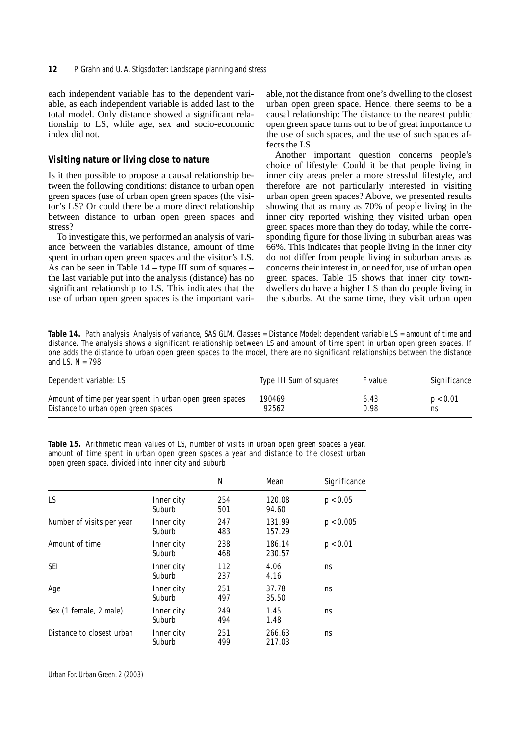each independent variable has to the dependent variable, as each independent variable is added last to the total model. Only distance showed a significant relationship to LS, while age, sex and socio-economic index did not.

#### **Visiting nature or living close to nature**

Is it then possible to propose a causal relationship between the following conditions: distance to urban open green spaces (use of urban open green spaces (the visitor's LS? Or could there be a more direct relationship between distance to urban open green spaces and stress?

To investigate this, we performed an analysis of variance between the variables distance, amount of time spent in urban open green spaces and the visitor's LS. As can be seen in Table 14 – type III sum of squares – the last variable put into the analysis (distance) has no significant relationship to LS. This indicates that the use of urban open green spaces is the important vari-

able, not the distance from one's dwelling to the closest urban open green space. Hence, there seems to be a causal relationship: The distance to the nearest public open green space turns out to be of great importance to the use of such spaces, and the use of such spaces affects the LS.

Another important question concerns people's choice of lifestyle: Could it be that people living in inner city areas prefer a more stressful lifestyle, and therefore are not particularly interested in visiting urban open green spaces? Above, we presented results showing that as many as 70% of people living in the inner city reported wishing they visited urban open green spaces more than they do today, while the corresponding figure for those living in suburban areas was 66%. This indicates that people living in the inner city do not differ from people living in suburban areas as concerns their interest in, or need for, use of urban open green spaces. Table 15 shows that inner city towndwellers do have a higher LS than do people living in the suburbs. At the same time, they visit urban open

**Table 14.** Path analysis. Analysis of variance, SAS GLM. Classes = Distance Model: dependent variable LS = amount of time and distance. The analysis shows a significant relationship between LS and amount of time spent in urban open green spaces. If one adds the distance to urban open green spaces to the model, there are no significant relationships between the distance and LS.  $N = 798$ 

| Dependent variable: LS                                   | Type III Sum of squares | F value | Significance |
|----------------------------------------------------------|-------------------------|---------|--------------|
| Amount of time per year spent in urban open green spaces | 190469                  | 6.43    | p < 0.01     |
| Distance to urban open green spaces                      | 92562                   | 0.98    | ns           |

**Table 15.** Arithmetic mean values of LS, number of visits in urban open green spaces a year, amount of time spent in urban open green spaces a year and distance to the closest urban open green space, divided into inner city and suburb

|                           |                      | N          | Mean             | Significance |
|---------------------------|----------------------|------------|------------------|--------------|
| LS                        | Inner city<br>Suburb | 254<br>501 | 120.08<br>94.60  | p < 0.05     |
| Number of visits per year | Inner city<br>Suburb | 247<br>483 | 131.99<br>157.29 | p < 0.005    |
| Amount of time            | Inner city<br>Suburb | 238<br>468 | 186.14<br>230.57 | p < 0.01     |
| <b>SEI</b>                | Inner city<br>Suburb | 112<br>237 | 4.06<br>4.16     | ns           |
| Age                       | Inner city<br>Suburb | 251<br>497 | 37.78<br>35.50   | ns           |
| Sex (1 female, 2 male)    | Inner city<br>Suburb | 249<br>494 | 1.45<br>1.48     | ns           |
| Distance to closest urban | Inner city<br>Suburb | 251<br>499 | 266.63<br>217.03 | ns           |

Urban For. Urban Green. 2 (2003)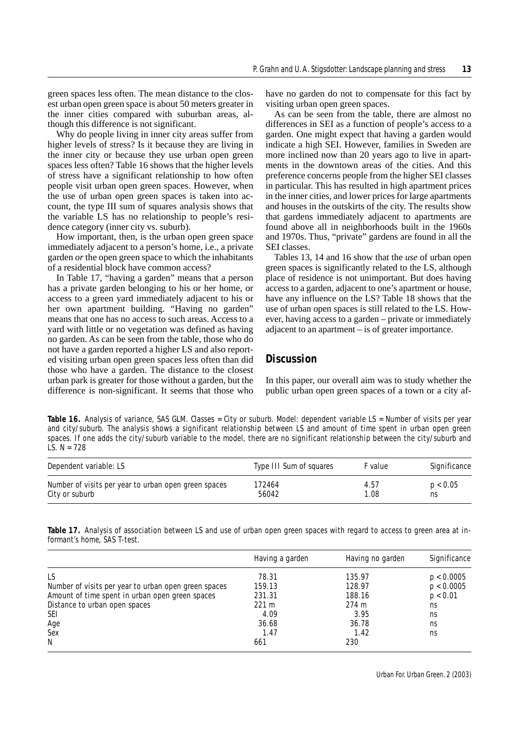green spaces less often. The mean distance to the closest urban open green space is about 50 meters greater in the inner cities compared with suburban areas, although this difference is not significant.

Why do people living in inner city areas suffer from higher levels of stress? Is it because they are living in the inner city or because they use urban open green spaces less often? Table 16 shows that the higher levels of stress have a significant relationship to how often people visit urban open green spaces. However, when the use of urban open green spaces is taken into account, the type III sum of squares analysis shows that the variable LS has no relationship to people's residence category (inner city vs. suburb).

How important, then, is the urban open green space immediately adjacent to a person's home, i.e., a private garden *or* the open green space to which the inhabitants of a residential block have common access?

In Table 17, "having a garden" means that a person has a private garden belonging to his or her home, or access to a green yard immediately adjacent to his or her own apartment building. "Having no garden" means that one has no access to such areas. Access to a yard with little or no vegetation was defined as having no garden. As can be seen from the table, those who do not have a garden reported a higher LS and also reported visiting urban open green spaces less often than did those who have a garden. The distance to the closest urban park is greater for those without a garden, but the difference is non-significant. It seems that those who have no garden do not to compensate for this fact by visiting urban open green spaces.

As can be seen from the table, there are almost no differences in SEI as a function of people's access to a garden. One might expect that having a garden would indicate a high SEI. However, families in Sweden are more inclined now than 20 years ago to live in apartments in the downtown areas of the cities. And this preference concerns people from the higher SEI classes in particular. This has resulted in high apartment prices in the inner cities, and lower prices for large apartments and houses in the outskirts of the city. The results show that gardens immediately adjacent to apartments are found above all in neighborhoods built in the 1960s and 1970s. Thus, "private" gardens are found in all the SEI classes.

Tables 13, 14 and 16 show that the *use* of urban open green spaces is significantly related to the LS, although place of residence is not unimportant. But does having access to a garden, adjacent to one's apartment or house, have any influence on the LS? Table 18 shows that the use of urban open spaces is still related to the LS. However, having access to a garden – private or immediately adjacent to an apartment – is of greater importance.

## **Discussion**

In this paper, our overall aim was to study whether the public urban open green spaces of a town or a city af-

Table 16. Analysis of variance, SAS GLM. Classes = City or suburb. Model: dependent variable LS = Number of visits per year and city/suburb. The analysis shows a significant relationship between LS and amount of time spent in urban open green spaces. If one adds the city/suburb variable to the model, there are no significant relationship between the city/suburb and LS.  $N = 728$ 

| Dependent variable: LS                               | Type III Sum of squares | F value | Significance |
|------------------------------------------------------|-------------------------|---------|--------------|
| Number of visits per year to urban open green spaces | 172464                  | 4.57    | p < 0.05     |
| City or suburb                                       | 56042                   | 1.08    | ns           |

**Table 17.** Analysis of association between LS and use of urban open green spaces with regard to access to green area at informant's home, SAS T-test.

|                                                      | Having a garden | Having no garden | Significance |
|------------------------------------------------------|-----------------|------------------|--------------|
| <b>LS</b>                                            | 78.31           | 135.97           | p < 0.0005   |
| Number of visits per year to urban open green spaces | 159.13          | 128.97           | p < 0.0005   |
| Amount of time spent in urban open green spaces      | 231.31          | 188.16           | p < 0.01     |
| Distance to urban open spaces                        | 221 m           | 274 m            | ns           |
| <b>SEI</b>                                           | 4.09            | 3.95             | ns           |
| Age                                                  | 36.68           | 36.78            | ns           |
| Sex                                                  | 1.47            | 1.42             | ns           |
| N                                                    | 661             | 230              |              |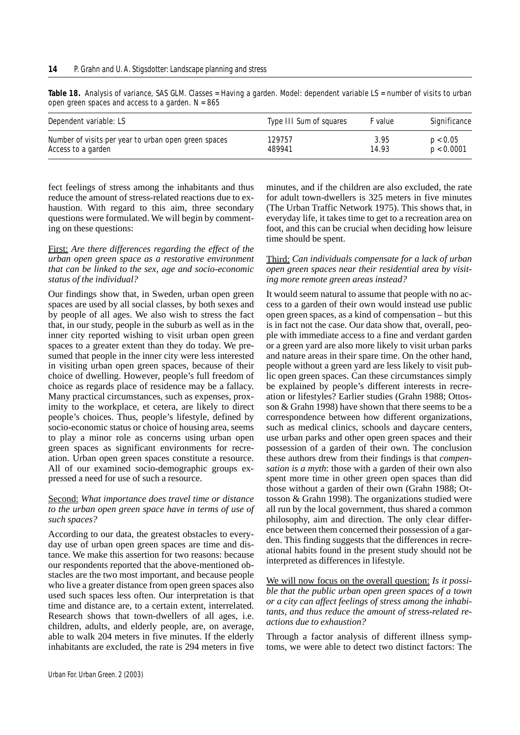**Table 18.** Analysis of variance, SAS GLM. Classes = Having a garden. Model: dependent variable LS = number of visits to urban open green spaces and access to a garden.  $N = 865$ 

| Dependent variable: LS                               | Type III Sum of squares | F value | Significance |
|------------------------------------------------------|-------------------------|---------|--------------|
| Number of visits per year to urban open green spaces | 129757                  | 3.95    | p < 0.05     |
| Access to a garden                                   | 489941                  | 14.93   | p < 0.0001   |

fect feelings of stress among the inhabitants and thus reduce the amount of stress-related reactions due to exhaustion. With regard to this aim, three secondary questions were formulated. We will begin by commenting on these questions:

#### First: *Are there differences regarding the effect of the urban open green space as a restorative environment that can be linked to the sex, age and socio-economic status of the individual?*

Our findings show that, in Sweden, urban open green spaces are used by all social classes, by both sexes and by people of all ages. We also wish to stress the fact that, in our study, people in the suburb as well as in the inner city reported wishing to visit urban open green spaces to a greater extent than they do today. We presumed that people in the inner city were less interested in visiting urban open green spaces, because of their choice of dwelling. However, people's full freedom of choice as regards place of residence may be a fallacy. Many practical circumstances, such as expenses, proximity to the workplace, et cetera, are likely to direct people's choices. Thus, people's lifestyle, defined by socio-economic status or choice of housing area, seems to play a minor role as concerns using urban open green spaces as significant environments for recreation. Urban open green spaces constitute a resource. All of our examined socio-demographic groups expressed a need for use of such a resource.

#### Second: *What importance does travel time or distance to the urban open green space have in terms of use of such spaces?*

According to our data, the greatest obstacles to everyday use of urban open green spaces are time and distance. We make this assertion for two reasons: because our respondents reported that the above-mentioned obstacles are the two most important, and because people who live a greater distance from open green spaces also used such spaces less often. Our interpretation is that time and distance are, to a certain extent, interrelated. Research shows that town-dwellers of all ages, i.e. children, adults, and elderly people, are, on average, able to walk 204 meters in five minutes. If the elderly inhabitants are excluded, the rate is 294 meters in five

minutes, and if the children are also excluded, the rate for adult town-dwellers is 325 meters in five minutes (The Urban Traffic Network 1975). This shows that, in everyday life, it takes time to get to a recreation area on foot, and this can be crucial when deciding how leisure time should be spent.

#### Third: *Can individuals compensate for a lack of urban open green spaces near their residential area by visiting more remote green areas instead?*

It would seem natural to assume that people with no access to a garden of their own would instead use public open green spaces, as a kind of compensation – but this is in fact not the case. Our data show that, overall, people with immediate access to a fine and verdant garden or a green yard are also more likely to visit urban parks and nature areas in their spare time. On the other hand, people without a green yard are less likely to visit public open green spaces. Can these circumstances simply be explained by people's different interests in recreation or lifestyles? Earlier studies (Grahn 1988; Ottosson & Grahn 1998) have shown that there seems to be a correspondence between how different organizations, such as medical clinics, schools and daycare centers, use urban parks and other open green spaces and their possession of a garden of their own. The conclusion these authors drew from their findings is that *compensation is a myth*: those with a garden of their own also spent more time in other green open spaces than did those without a garden of their own (Grahn 1988; Ottosson & Grahn 1998). The organizations studied were all run by the local government, thus shared a common philosophy, aim and direction. The only clear difference between them concerned their possession of a garden. This finding suggests that the differences in recreational habits found in the present study should not be interpreted as differences in lifestyle.

We will now focus on the overall question: *Is it possible that the public urban open green spaces of a town or a city can affect feelings of stress among the inhabitants, and thus reduce the amount of stress-related reactions due to exhaustion?*

Through a factor analysis of different illness symptoms, we were able to detect two distinct factors: The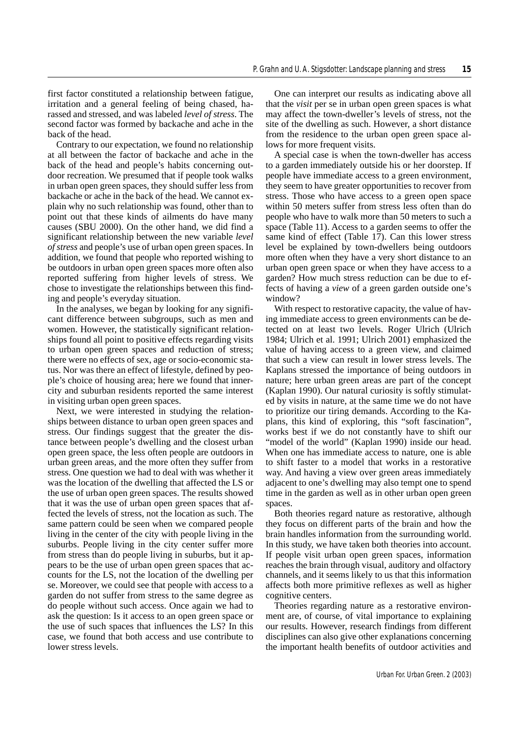first factor constituted a relationship between fatigue, irritation and a general feeling of being chased, harassed and stressed, and was labeled *level of stress*. The second factor was formed by backache and ache in the back of the head.

Contrary to our expectation, we found no relationship at all between the factor of backache and ache in the back of the head and people's habits concerning outdoor recreation. We presumed that if people took walks in urban open green spaces, they should suffer less from backache or ache in the back of the head. We cannot explain why no such relationship was found, other than to point out that these kinds of ailments do have many causes (SBU 2000). On the other hand, we did find a significant relationship between the new variable *level of stress* and people's use of urban open green spaces. In addition, we found that people who reported wishing to be outdoors in urban open green spaces more often also reported suffering from higher levels of stress. We chose to investigate the relationships between this finding and people's everyday situation.

In the analyses, we began by looking for any significant difference between subgroups, such as men and women. However, the statistically significant relationships found all point to positive effects regarding visits to urban open green spaces and reduction of stress; there were no effects of sex, age or socio-economic status. Nor was there an effect of lifestyle, defined by people's choice of housing area; here we found that innercity and suburban residents reported the same interest in visiting urban open green spaces.

Next, we were interested in studying the relationships between distance to urban open green spaces and stress. Our findings suggest that the greater the distance between people's dwelling and the closest urban open green space, the less often people are outdoors in urban green areas, and the more often they suffer from stress. One question we had to deal with was whether it was the location of the dwelling that affected the LS or the use of urban open green spaces. The results showed that it was the use of urban open green spaces that affected the levels of stress, not the location as such. The same pattern could be seen when we compared people living in the center of the city with people living in the suburbs. People living in the city center suffer more from stress than do people living in suburbs, but it appears to be the use of urban open green spaces that accounts for the LS, not the location of the dwelling per se. Moreover, we could see that people with access to a garden do not suffer from stress to the same degree as do people without such access. Once again we had to ask the question: Is it access to an open green space or the use of such spaces that influences the LS? In this case, we found that both access and use contribute to lower stress levels.

One can interpret our results as indicating above all that the *visit* per se in urban open green spaces is what may affect the town-dweller's levels of stress, not the site of the dwelling as such. However, a short distance from the residence to the urban open green space allows for more frequent visits.

A special case is when the town-dweller has access to a garden immediately outside his or her doorstep. If people have immediate access to a green environment, they seem to have greater opportunities to recover from stress. Those who have access to a green open space within 50 meters suffer from stress less often than do people who have to walk more than 50 meters to such a space (Table 11). Access to a garden seems to offer the same kind of effect (Table 17). Can this lower stress level be explained by town-dwellers being outdoors more often when they have a very short distance to an urban open green space or when they have access to a garden? How much stress reduction can be due to effects of having a *view* of a green garden outside one's window?

With respect to restorative capacity, the value of having immediate access to green environments can be detected on at least two levels. Roger Ulrich (Ulrich 1984; Ulrich et al. 1991; Ulrich 2001) emphasized the value of having access to a green view, and claimed that such a view can result in lower stress levels. The Kaplans stressed the importance of being outdoors in nature; here urban green areas are part of the concept (Kaplan 1990). Our natural curiosity is softly stimulated by visits in nature, at the same time we do not have to prioritize our tiring demands. According to the Kaplans, this kind of exploring, this "soft fascination", works best if we do not constantly have to shift our "model of the world" (Kaplan 1990) inside our head. When one has immediate access to nature, one is able to shift faster to a model that works in a restorative way. And having a view over green areas immediately adjacent to one's dwelling may also tempt one to spend time in the garden as well as in other urban open green spaces.

Both theories regard nature as restorative, although they focus on different parts of the brain and how the brain handles information from the surrounding world. In this study, we have taken both theories into account. If people visit urban open green spaces, information reaches the brain through visual, auditory and olfactory channels, and it seems likely to us that this information affects both more primitive reflexes as well as higher cognitive centers.

Theories regarding nature as a restorative environment are, of course, of vital importance to explaining our results. However, research findings from different disciplines can also give other explanations concerning the important health benefits of outdoor activities and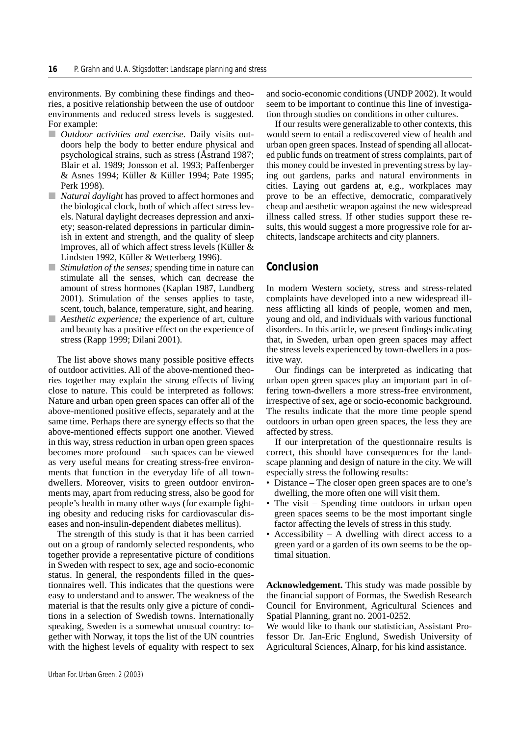environments. By combining these findings and theories, a positive relationship between the use of outdoor environments and reduced stress levels is suggested. For example:

- *Outdoor activities and exercise*. Daily visits outdoors help the body to better endure physical and psychological strains, such as stress (Åstrand 1987; Blair et al. 1989; Jonsson et al. 1993; Paffenberger & Asnes 1994; Küller & Küller 1994; Pate 1995; Perk 1998).
- - *Natural daylight* has proved to affect hormones and the biological clock, both of which affect stress levels. Natural daylight decreases depression and anxiety; season-related depressions in particular diminish in extent and strength, and the quality of sleep improves, all of which affect stress levels (Küller & Lindsten 1992, Küller & Wetterberg 1996).
- - *Stimulation of the senses;* spending time in nature can stimulate all the senses, which can decrease the amount of stress hormones (Kaplan 1987, Lundberg 2001). Stimulation of the senses applies to taste, scent, touch, balance, temperature, sight, and hearing.
- - *Aesthetic experience;* the experience of art, culture and beauty has a positive effect on the experience of stress (Rapp 1999; Dilani 2001).

The list above shows many possible positive effects of outdoor activities. All of the above-mentioned theories together may explain the strong effects of living close to nature. This could be interpreted as follows: Nature and urban open green spaces can offer all of the above-mentioned positive effects, separately and at the same time. Perhaps there are synergy effects so that the above-mentioned effects support one another. Viewed in this way, stress reduction in urban open green spaces becomes more profound – such spaces can be viewed as very useful means for creating stress-free environments that function in the everyday life of all towndwellers. Moreover, visits to green outdoor environments may, apart from reducing stress, also be good for people's health in many other ways (for example fighting obesity and reducing risks for cardiovascular diseases and non-insulin-dependent diabetes mellitus).

The strength of this study is that it has been carried out on a group of randomly selected respondents, who together provide a representative picture of conditions in Sweden with respect to sex, age and socio-economic status. In general, the respondents filled in the questionnaires well. This indicates that the questions were easy to understand and to answer. The weakness of the material is that the results only give a picture of conditions in a selection of Swedish towns. Internationally speaking, Sweden is a somewhat unusual country: together with Norway, it tops the list of the UN countries with the highest levels of equality with respect to sex and socio-economic conditions (UNDP 2002). It would seem to be important to continue this line of investigation through studies on conditions in other cultures.

If our results were generalizable to other contexts, this would seem to entail a rediscovered view of health and urban open green spaces. Instead of spending all allocated public funds on treatment of stress complaints, part of this money could be invested in preventing stress by laying out gardens, parks and natural environments in cities. Laying out gardens at, e.g., workplaces may prove to be an effective, democratic, comparatively cheap and aesthetic weapon against the new widespread illness called stress. If other studies support these results, this would suggest a more progressive role for architects, landscape architects and city planners.

### **Conclusion**

In modern Western society, stress and stress-related complaints have developed into a new widespread illness afflicting all kinds of people, women and men, young and old, and individuals with various functional disorders. In this article, we present findings indicating that, in Sweden, urban open green spaces may affect the stress levels experienced by town-dwellers in a positive way.

Our findings can be interpreted as indicating that urban open green spaces play an important part in offering town-dwellers a more stress-free environment, irrespective of sex, age or socio-economic background. The results indicate that the more time people spend outdoors in urban open green spaces, the less they are affected by stress.

If our interpretation of the questionnaire results is correct, this should have consequences for the landscape planning and design of nature in the city. We will especially stress the following results:

- Distance The closer open green spaces are to one's dwelling, the more often one will visit them.
- The visit Spending time outdoors in urban open green spaces seems to be the most important single factor affecting the levels of stress in this study.
- Accessibility A dwelling with direct access to a green yard or a garden of its own seems to be the optimal situation.

**Acknowledgement.** This study was made possible by the financial support of Formas, the Swedish Research Council for Environment, Agricultural Sciences and Spatial Planning, grant no. 2001-0252.

We would like to thank our statistician, Assistant Professor Dr. Jan-Eric Englund, Swedish University of Agricultural Sciences, Alnarp, for his kind assistance.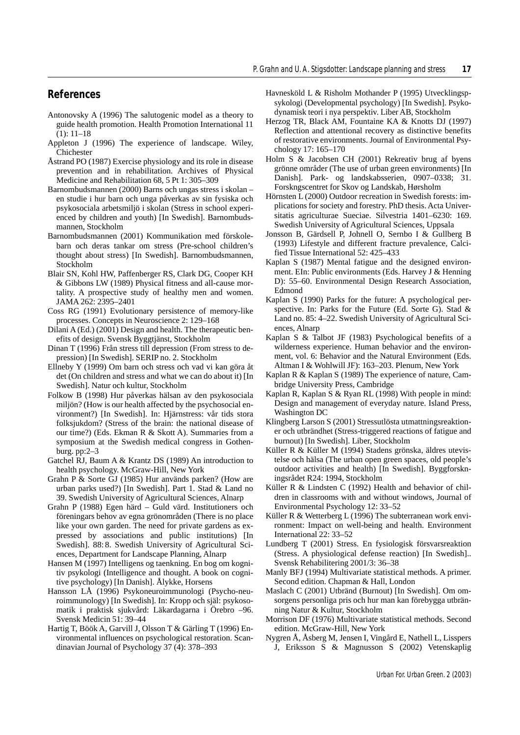### **References**

- Antonovsky A (1996) The salutogenic model as a theory to guide health promotion. Health Promotion International 11  $(1): 11-18$
- Appleton J (1996) The experience of landscape. Wiley, Chichester
- Åstrand PO (1987) Exercise physiology and its role in disease prevention and in rehabilitation. Archives of Physical Medicine and Rehabilitation 68, 5 Pt 1: 305–309
- Barnombudsmannen (2000) Barns och ungas stress i skolan en studie i hur barn och unga påverkas av sin fysiska och psykosociala arbetsmiljö i skolan (Stress in school experienced by children and youth) [In Swedish]. Barnombudsmannen, Stockholm
- Barnombudsmannen (2001) Kommunikation med förskolebarn och deras tankar om stress (Pre-school children's thought about stress) [In Swedish]. Barnombudsmannen, Stockholm
- Blair SN, Kohl HW, Paffenberger RS, Clark DG, Cooper KH & Gibbons LW(1989) Physical fitness and all-cause mortality. A prospective study of healthy men and women. JAMA 262: 2395–2401
- Coss RG (1991) Evolutionary persistence of memory-like processes. Concepts in Neuroscience 2: 129–168
- Dilani A (Ed.) (2001) Design and health. The therapeutic benefits of design. Svensk Byggtjänst, Stockholm
- Dinan T (1996) Från stress till depression (From stress to depression) [In Swedish]. SERIP no. 2. Stockholm
- Ellneby Y (1999) Om barn och stress och vad vi kan göra åt det (On children and stress and what we can do about it) [In Swedish]. Natur och kultur, Stockholm
- Folkow B (1998) Hur påverkas hälsan av den psykosociala miljön? (How is our health affected by the psychosocial environment?) [In Swedish]. In: Hjärnstress: vår tids stora folksjukdom? (Stress of the brain: the national disease of our time?) (Eds. Ekman R & Skott A). Summaries from a symposium at the Swedish medical congress in Gothenburg. pp:2–3
- Gatchel RJ, Baum A & Krantz DS (1989) An introduction to health psychology. McGraw-Hill, New York
- Grahn P & Sorte GJ (1985) Hur används parken? (How are urban parks used?) [In Swedish]. Part 1. Stad & Land no 39. Swedish University of Agricultural Sciences, Alnarp
- Grahn P (1988) Egen härd Guld värd. Institutioners och föreningars behov av egna grönområden (There is no place like your own garden. The need for private gardens as expressed by associations and public institutions) [In Swedish]. 88: 8. Swedish University of Agricultural Sciences, Department for Landscape Planning, Alnarp
- Hansen M (1997) Intelligens og taenkning. En bog om kognitiv psykologi (Intelligence and thought. A book on cognitive psychology) [In Danish]. Ålykke, Horsens
- Hansson LÅ (1996) Psykoneuroimmunologi (Psycho-neuroimmunology) [In Swedish]. In: Kropp och själ: psykosomatik i praktisk sjukvård: Läkardagarna i Örebro –96. Svensk Medicin 51: 39–44
- Hartig T, Böök A, Garvill J, Olsson T & Gärling T (1996) Environmental influences on psychological restoration. Scandinavian Journal of Psychology 37 (4): 378–393
- Havnesköld L & Risholm Mothander P (1995) Utvecklingspsykologi (Developmental psychology) [In Swedish]. Psykodynamisk teori i nya perspektiv. Liber AB, Stockholm
- Herzog TR, Black AM, Fountaine KA & Knotts DJ (1997) Reflection and attentional recovery as distinctive benefits of restorative environments. Journal of Environmental Psychology 17: 165–170
- Holm S & Jacobsen CH (2001) Rekreativ brug af byens grönne områder (The use of urban green environments) [In Danish]. Park- og landskabsserien, 0907–0338; 31. Forskngscentret for Skov og Landskab, Hørsholm
- Hörnsten L (2000) Outdoor recreation in Swedish forests: implications for society and forestry. PhD thesis. Acta Universitatis agriculturae Sueciae. Silvestria 1401–6230: 169. Swedish University of Agricultural Sciences, Uppsala
- Jonsson B, Gärdsell P, Johnell O, Sernbo I & Gullberg B (1993) Lifestyle and different fracture prevalence, Calcified Tissue International 52: 425–433
- Kaplan S (1987) Mental fatigue and the designed environment. EIn: Public environments (Eds. Harvey J & Henning D): 55–60. Environmental Design Research Association, Edmond
- Kaplan S (1990) Parks for the future: A psychological perspective. In: Parks for the Future (Ed. Sorte G). Stad & Land no. 85: 4–22. Swedish University of Agricultural Sciences, Alnarp
- Kaplan S & Talbot JF (1983) Psychological benefits of a wilderness experience. Human behavior and the environment, vol. 6: Behavior and the Natural Environment (Eds. Altman I & Wohlwill JF): 163–203. Plenum, New York
- Kaplan R & Kaplan S (1989) The experience of nature, Cambridge University Press, Cambridge
- Kaplan R, Kaplan S & Ryan RL (1998) With people in mind: Design and management of everyday nature. Island Press, Washington DC
- Klingberg Larson S (2001) Stressutlösta utmattningsreaktioner och utbrändhet (Stress-triggered reactions of fatigue and burnout) [In Swedish]. Liber, Stockholm
- Küller R & Küller M (1994) Stadens grönska, äldres utevistelse och hälsa (The urban open green spaces, old people's outdoor activities and health) [In Swedish]. Byggforskningsrådet R24: 1994, Stockholm
- Küller R & Lindsten C (1992) Health and behavior of children in classrooms with and without windows, Journal of Environmental Psychology 12: 33–52
- Küller R & Wetterberg L (1996) The subterranean work environment: Impact on well-being and health. Environment International 22: 33–52
- Lundberg T (2001) Stress. En fysiologisk försvarsreaktion (Stress. A physiological defense reaction) [In Swedish].. Svensk Rehabilitering 2001/3: 36–38
- Manly BFJ (1994) Multivariate statistical methods. A primer. Second edition. Chapman & Hall, London
- Maslach C (2001) Utbränd (Burnout) [In Swedish]. Om omsorgens personliga pris och hur man kan förebygga utbränning Natur & Kultur, Stockholm
- Morrison DF (1976) Multivariate statistical methods. Second edition. McGraw-Hill, New York
- Nygren Å, Åsberg M, Jensen I, Vingård E, Nathell L, Lisspers J, Eriksson S & Magnusson S (2002) Vetenskaplig